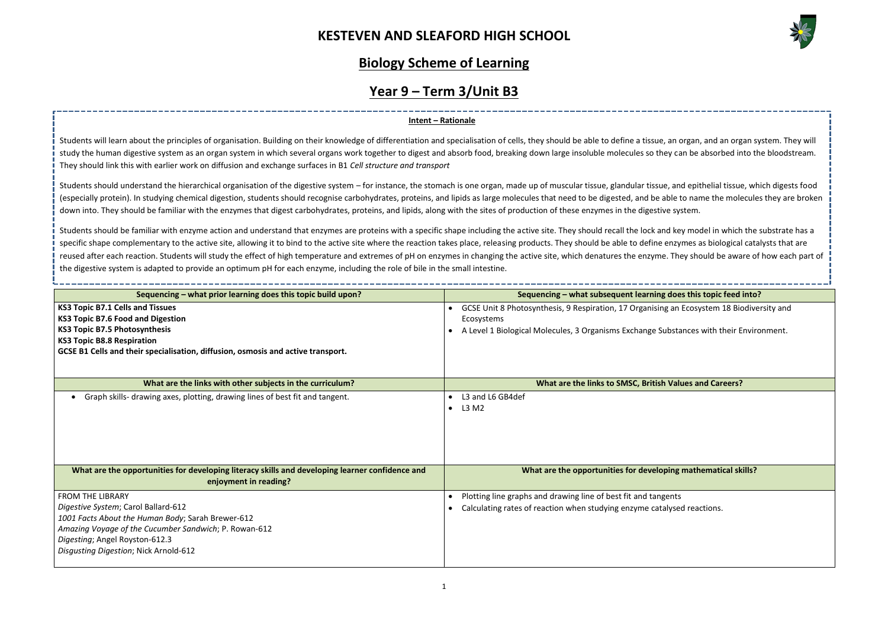,一个人都是一个人的人,一个人都是一个人的人,一个人都是一个人的人,一个人都是一个人的人,一个人都是一个人的人,一个人都是一个人的人,一个人都是一个人的人,一个人



### **Joes this topic feed into?**

### **Megin mathematical skills?**

### **Biology Scheme of Learning**

# **Year 9 – Term 3/Unit B3**

Students will learn about the principles of organisation. Building on their knowledge of differentiation and specialisation of cells, they should be able to define a tissue, an organ, and an organ system. They will study the human digestive system as an organ system in which several organs work together to digest and absorb food, breaking down large insoluble molecules so they can be absorbed into the bloodstream. They should link this with earlier work on diffusion and exchange surfaces in B1 *Cell structure and transport*

### **Intent – Rationale**

Students should be familiar with enzyme action and understand that enzymes are proteins with a specific shape including the active site. They should recall the lock and key model in which the substrate has a specific shape complementary to the active site, allowing it to bind to the active site where the reaction takes place, releasing products. They should be able to define enzymes as biological catalysts that are reused after each reaction. Students will study the effect of high temperature and extremes of pH on enzymes in changing the active site, which denatures the enzyme. They should be aware of how each part of the digestive system is adapted to provide an optimum pH for each enzyme, including the role of bile in the small intestine.

Students should understand the hierarchical organisation of the digestive system – for instance, the stomach is one organ, made up of muscular tissue, glandular tissue, and epithelial tissue, which digests food (especially protein). In studying chemical digestion, students should recognise carbohydrates, proteins, and lipids as large molecules that need to be digested, and be able to name the molecules they are broken down into. They should be familiar with the enzymes that digest carbohydrates, proteins, and lipids, along with the sites of production of these enzymes in the digestive system.

| Sequencing - what prior learning does this topic build upon?                                                                                                                                                                                            | Sequencing – what subsequent learning does this topic feed into?                                                                                                                                   |
|---------------------------------------------------------------------------------------------------------------------------------------------------------------------------------------------------------------------------------------------------------|----------------------------------------------------------------------------------------------------------------------------------------------------------------------------------------------------|
| <b>KS3 Topic B7.1 Cells and Tissues</b><br><b>KS3 Topic B7.6 Food and Digestion</b><br><b>KS3 Topic B7.5 Photosynthesis</b><br><b>KS3 Topic B8.8 Respiration</b><br>GCSE B1 Cells and their specialisation, diffusion, osmosis and active transport.    | GCSE Unit 8 Photosynthesis, 9 Respiration, 17 Organising an Ecosystem 18 Biodiversity and<br>Ecosystems<br>A Level 1 Biological Molecules, 3 Organisms Exchange Substances with their Environment. |
| What are the links with other subjects in the curriculum?                                                                                                                                                                                               | What are the links to SMSC, British Values and Careers?                                                                                                                                            |
| Graph skills- drawing axes, plotting, drawing lines of best fit and tangent.                                                                                                                                                                            | L3 and L6 GB4def<br>L3 M2                                                                                                                                                                          |
| What are the opportunities for developing literacy skills and developing learner confidence and<br>enjoyment in reading?                                                                                                                                | What are the opportunities for developing mathematical skills?                                                                                                                                     |
| <b>FROM THE LIBRARY</b><br>Digestive System; Carol Ballard-612<br>1001 Facts About the Human Body; Sarah Brewer-612<br>Amazing Voyage of the Cucumber Sandwich; P. Rowan-612<br>Digesting; Angel Royston-612.3<br>Disgusting Digestion; Nick Arnold-612 | Plotting line graphs and drawing line of best fit and tangents<br>Calculating rates of reaction when studying enzyme catalysed reactions.                                                          |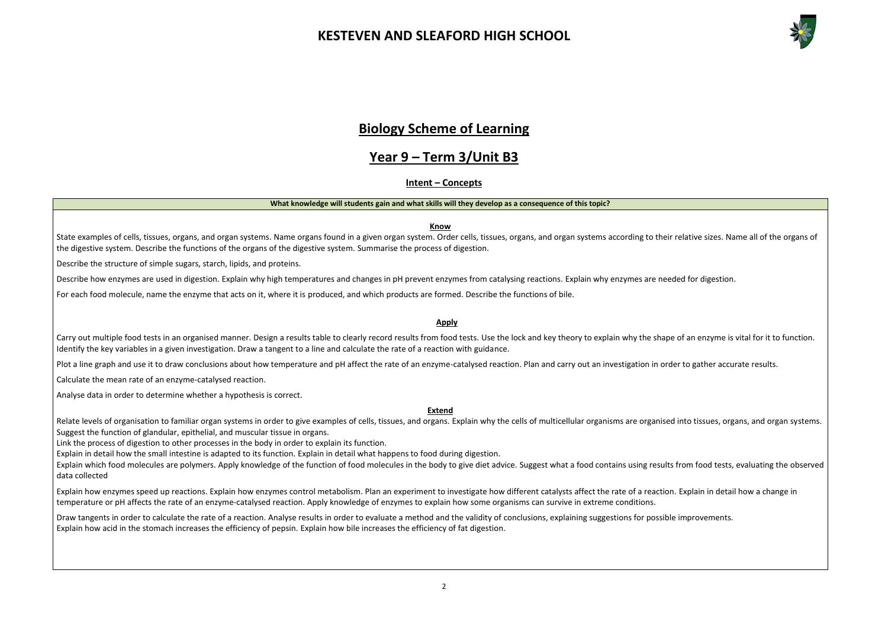

### **Biology Scheme of Learning**

### **Year 9 – Term 3/Unit B3**

### **Intent – Concepts**

### **What knowledge will students gain and what skills will they develop as a consequence of this topic?**

### **Know**

State examples of cells, tissues, organs, and organ systems. Name organs found in a given organ system. Order cells, tissues, organs, and organ systems according to their relative sizes. Name all of the organs of the digestive system. Describe the functions of the organs of the digestive system. Summarise the process of digestion.

Describe the structure of simple sugars, starch, lipids, and proteins.

Carry out multiple food tests in an organised manner. Design a results table to clearly record results from food tests. Use the lock and key theory to explain why the shape of an enzyme is vital for it to function. Identify the key variables in a given investigation. Draw a tangent to a line and calculate the rate of a reaction with guidance.

Plot a line graph and use it to draw conclusions about how temperature and pH affect the rate of an enzyme-catalysed reaction. Plan and carry out an investigation in order to gather accurate results.

Describe how enzymes are used in digestion. Explain why high temperatures and changes in pH prevent enzymes from catalysing reactions. Explain why enzymes are needed for digestion.

For each food molecule, name the enzyme that acts on it, where it is produced, and which products are formed. Describe the functions of bile.

#### **Apply**

Relate levels of organisation to familiar organ systems in order to give examples of cells, tissues, and organs. Explain why the cells of multicellular organisms are organised into tissues, organs, and organ systems. Suggest the function of glandular, epithelial, and muscular tissue in organs.

Calculate the mean rate of an enzyme-catalysed reaction.

Draw tangents in order to calculate the rate of a reaction. Analyse results in order to evaluate a method and the validity of conclusions, explaining suggestions for possible improvements. Explain how acid in the stomach increases the efficiency of pepsin. Explain how bile increases the efficiency of fat digestion.

Analyse data in order to determine whether a hypothesis is correct.

#### **Extend**

Link the process of digestion to other processes in the body in order to explain its function.

Explain in detail how the small intestine is adapted to its function. Explain in detail what happens to food during digestion.

Explain which food molecules are polymers. Apply knowledge of the function of food molecules in the body to give diet advice. Suggest what a food contains using results from food tests, evaluating the observed data collected

Explain how enzymes speed up reactions. Explain how enzymes control metabolism. Plan an experiment to investigate how different catalysts affect the rate of a reaction. Explain in detail how a change in temperature or pH affects the rate of an enzyme-catalysed reaction. Apply knowledge of enzymes to explain how some organisms can survive in extreme conditions.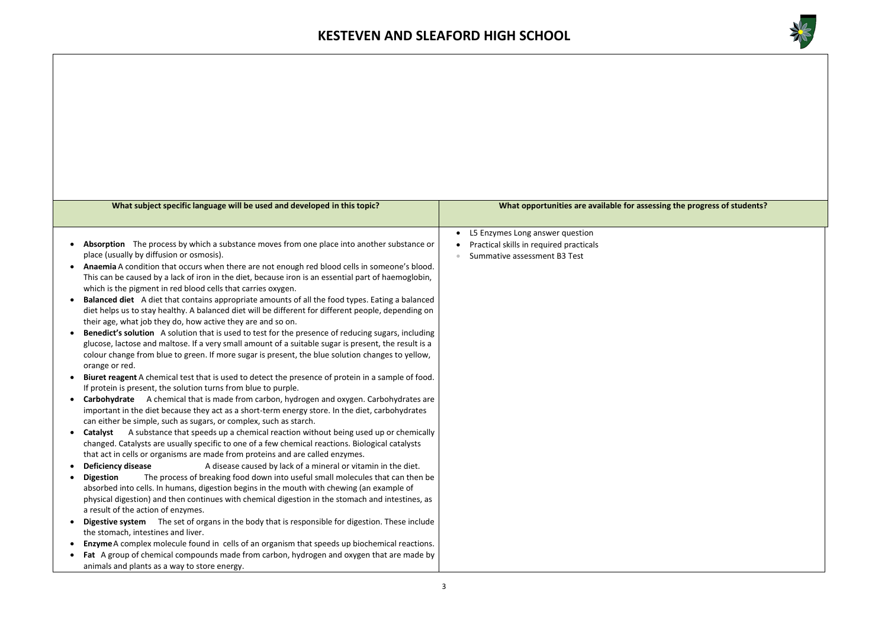

### **g** the progress of students?

| What subject specific language will be used and developed in this topic?                                                                                                                                                                                                                                                                                                                                                                                                                                                                                                                                                                                                                                                                                                                                                                                                                                                                                                                                                                                                                                                                                                                                                                                                                                                                                                                                                                                                                                                                                                                                                                                                                                                                                                                                                                                                                                                                                                                                               | What opportunities are available for assessing                                                                          |  |  |
|------------------------------------------------------------------------------------------------------------------------------------------------------------------------------------------------------------------------------------------------------------------------------------------------------------------------------------------------------------------------------------------------------------------------------------------------------------------------------------------------------------------------------------------------------------------------------------------------------------------------------------------------------------------------------------------------------------------------------------------------------------------------------------------------------------------------------------------------------------------------------------------------------------------------------------------------------------------------------------------------------------------------------------------------------------------------------------------------------------------------------------------------------------------------------------------------------------------------------------------------------------------------------------------------------------------------------------------------------------------------------------------------------------------------------------------------------------------------------------------------------------------------------------------------------------------------------------------------------------------------------------------------------------------------------------------------------------------------------------------------------------------------------------------------------------------------------------------------------------------------------------------------------------------------------------------------------------------------------------------------------------------------|-------------------------------------------------------------------------------------------------------------------------|--|--|
|                                                                                                                                                                                                                                                                                                                                                                                                                                                                                                                                                                                                                                                                                                                                                                                                                                                                                                                                                                                                                                                                                                                                                                                                                                                                                                                                                                                                                                                                                                                                                                                                                                                                                                                                                                                                                                                                                                                                                                                                                        |                                                                                                                         |  |  |
| Absorption The process by which a substance moves from one place into another substance or<br>$\bullet$<br>place (usually by diffusion or osmosis).<br>Anaemia A condition that occurs when there are not enough red blood cells in someone's blood.<br>This can be caused by a lack of iron in the diet, because iron is an essential part of haemoglobin,<br>which is the pigment in red blood cells that carries oxygen.<br>Balanced diet A diet that contains appropriate amounts of all the food types. Eating a balanced<br>$\bullet$<br>diet helps us to stay healthy. A balanced diet will be different for different people, depending on<br>their age, what job they do, how active they are and so on.<br>Benedict's solution A solution that is used to test for the presence of reducing sugars, including<br>glucose, lactose and maltose. If a very small amount of a suitable sugar is present, the result is a<br>colour change from blue to green. If more sugar is present, the blue solution changes to yellow,<br>orange or red.<br>Biuret reagent A chemical test that is used to detect the presence of protein in a sample of food.<br>If protein is present, the solution turns from blue to purple.<br>Carbohydrate A chemical that is made from carbon, hydrogen and oxygen. Carbohydrates are<br>$\bullet$<br>important in the diet because they act as a short-term energy store. In the diet, carbohydrates<br>can either be simple, such as sugars, or complex, such as starch.<br>A substance that speeds up a chemical reaction without being used up or chemically<br>Catalyst<br>$\bullet$<br>changed. Catalysts are usually specific to one of a few chemical reactions. Biological catalysts<br>that act in cells or organisms are made from proteins and are called enzymes.<br>A disease caused by lack of a mineral or vitamin in the diet.<br><b>Deficiency disease</b><br>The process of breaking food down into useful small molecules that can then be<br><b>Digestion</b> | L5 Enzymes Long answer question<br>$\bullet$<br>Practical skills in required practicals<br>Summative assessment B3 Test |  |  |
| absorbed into cells. In humans, digestion begins in the mouth with chewing (an example of<br>physical digestion) and then continues with chemical digestion in the stomach and intestines, as<br>a result of the action of enzymes.                                                                                                                                                                                                                                                                                                                                                                                                                                                                                                                                                                                                                                                                                                                                                                                                                                                                                                                                                                                                                                                                                                                                                                                                                                                                                                                                                                                                                                                                                                                                                                                                                                                                                                                                                                                    |                                                                                                                         |  |  |
| <b>Digestive system</b><br>The set of organs in the body that is responsible for digestion. These include<br>$\bullet$<br>the stomach, intestines and liver.                                                                                                                                                                                                                                                                                                                                                                                                                                                                                                                                                                                                                                                                                                                                                                                                                                                                                                                                                                                                                                                                                                                                                                                                                                                                                                                                                                                                                                                                                                                                                                                                                                                                                                                                                                                                                                                           |                                                                                                                         |  |  |
| Enzyme A complex molecule found in cells of an organism that speeds up biochemical reactions.<br>Fat A group of chemical compounds made from carbon, hydrogen and oxygen that are made by<br>$\bullet$                                                                                                                                                                                                                                                                                                                                                                                                                                                                                                                                                                                                                                                                                                                                                                                                                                                                                                                                                                                                                                                                                                                                                                                                                                                                                                                                                                                                                                                                                                                                                                                                                                                                                                                                                                                                                 |                                                                                                                         |  |  |
| animals and plants as a way to store energy.                                                                                                                                                                                                                                                                                                                                                                                                                                                                                                                                                                                                                                                                                                                                                                                                                                                                                                                                                                                                                                                                                                                                                                                                                                                                                                                                                                                                                                                                                                                                                                                                                                                                                                                                                                                                                                                                                                                                                                           |                                                                                                                         |  |  |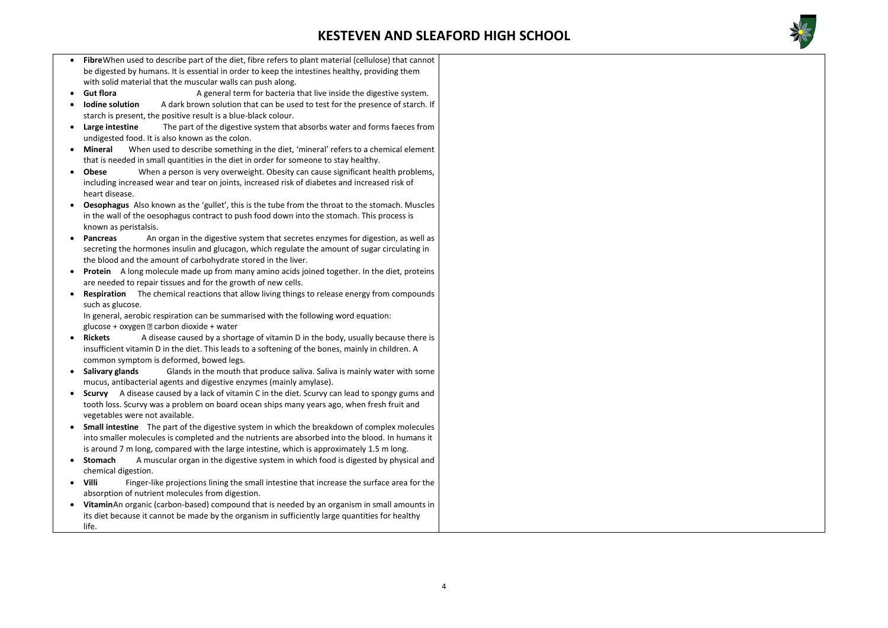

In general, aerobic respiration can be summarised with the following word equation: glucose + oxygen  $\mathbb D$  carbon dioxide + water

- **Fibre**When used to describe part of the diet, fibre refers to plant material (cellulose) that cannot be digested by humans. It is essential in order to keep the intestines healthy, providing them with solid material that the muscular walls can push along.
- **Gut flora A** general term for bacteria that live inside the digestive system.
- **Iodine solution** A dark brown solution that can be used to test for the presence of starch. If starch is present, the positive result is a blue-black colour.
- **Large intestine** The part of the digestive system that absorbs water and forms faeces from undigested food. It is also known as the colon.
- **Mineral** When used to describe something in the diet, 'mineral' refers to a chemical element that is needed in small quantities in the diet in order for someone to stay healthy.
- **Obese** When a person is very overweight. Obesity can cause significant health problems, including increased wear and tear on joints, increased risk of diabetes and increased risk of heart disease.
- **Oesophagus** Also known as the 'gullet', this is the tube from the throat to the stomach. Muscles in the wall of the oesophagus contract to push food down into the stomach. This process is known as peristalsis.
- **Pancreas** An organ in the digestive system that secretes enzymes for digestion, as well as secreting the hormones insulin and glucagon, which regulate the amount of sugar circulating in the blood and the amount of carbohydrate stored in the liver.
- **Protein** A long molecule made up from many amino acids joined together. In the diet, proteins are needed to repair tissues and for the growth of new cells.
- **Respiration** The chemical reactions that allow living things to release energy from compounds such as glucose.

- **Rickets** A disease caused by a shortage of vitamin D in the body, usually because there is insufficient vitamin D in the diet. This leads to a softening of the bones, mainly in children. A common symptom is deformed, bowed legs.
- **Salivary glands** Glands in the mouth that produce saliva. Saliva is mainly water with some mucus, antibacterial agents and digestive enzymes (mainly amylase).
- **Scurvy** A disease caused by a lack of vitamin C in the diet. Scurvy can lead to spongy gums and tooth loss. Scurvy was a problem on board ocean ships many years ago, when fresh fruit and vegetables were not available.
- **Small intestine** The part of the digestive system in which the breakdown of complex molecules into smaller molecules is completed and the nutrients are absorbed into the blood. In humans it is around 7 m long, compared with the large intestine, which is approximately 1.5 m long.
- **Stomach** A muscular organ in the digestive system in which food is digested by physical and chemical digestion.
- **Villi** Finger-like projections lining the small intestine that increase the surface area for the absorption of nutrient molecules from digestion.
- **Vitamin**An organic (carbon-based) compound that is needed by an organism in small amounts in its diet because it cannot be made by the organism in sufficiently large quantities for healthy life.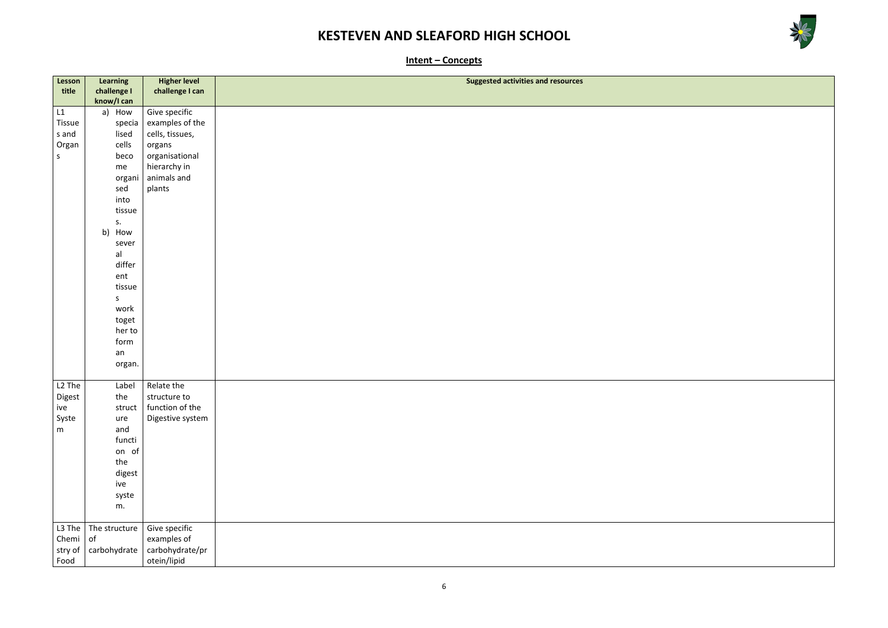



**Intent – Concepts**

| Lesson             | Learning       | <b>Higher level</b>      | <b>Suggested activities and resources</b> |
|--------------------|----------------|--------------------------|-------------------------------------------|
| title              | challenge I    | challenge I can          |                                           |
|                    | know/I can     |                          |                                           |
| L1                 | How<br>a)      | Give specific            |                                           |
| Tissue             | specia         | examples of the          |                                           |
| s and              | lised          | cells, tissues,          |                                           |
| Organ              | cells          | organs                   |                                           |
| $\mathsf S$        | beco           | organisational           |                                           |
|                    | me             | hierarchy in             |                                           |
|                    | organi         | animals and              |                                           |
|                    | sed            | plants                   |                                           |
|                    | into           |                          |                                           |
|                    | tissue         |                          |                                           |
|                    | s.             |                          |                                           |
|                    | b)<br>How      |                          |                                           |
|                    | sever          |                          |                                           |
|                    | al             |                          |                                           |
|                    | differ         |                          |                                           |
|                    | ent            |                          |                                           |
|                    | tissue         |                          |                                           |
|                    | S              |                          |                                           |
|                    | work           |                          |                                           |
|                    | toget          |                          |                                           |
|                    | her to         |                          |                                           |
|                    | form           |                          |                                           |
|                    | an             |                          |                                           |
|                    | organ.         |                          |                                           |
| L <sub>2</sub> The |                | Relate the               |                                           |
| Digest             | Label<br>the   | structure to             |                                           |
| ive                |                | struct   function of the |                                           |
| Syste              | ure            | Digestive system         |                                           |
| m                  | and            |                          |                                           |
|                    | functi         |                          |                                           |
|                    | on of          |                          |                                           |
|                    | the            |                          |                                           |
|                    | digest         |                          |                                           |
|                    | ive            |                          |                                           |
|                    | syste          |                          |                                           |
|                    | m.             |                          |                                           |
|                    |                |                          |                                           |
| L3 The             | The structure  | Give specific            |                                           |
| Chemi              | o <sub>f</sub> | examples of              |                                           |
| stry of            | carbohydrate   | carbohydrate/pr          |                                           |
| Food               |                | otein/lipid              |                                           |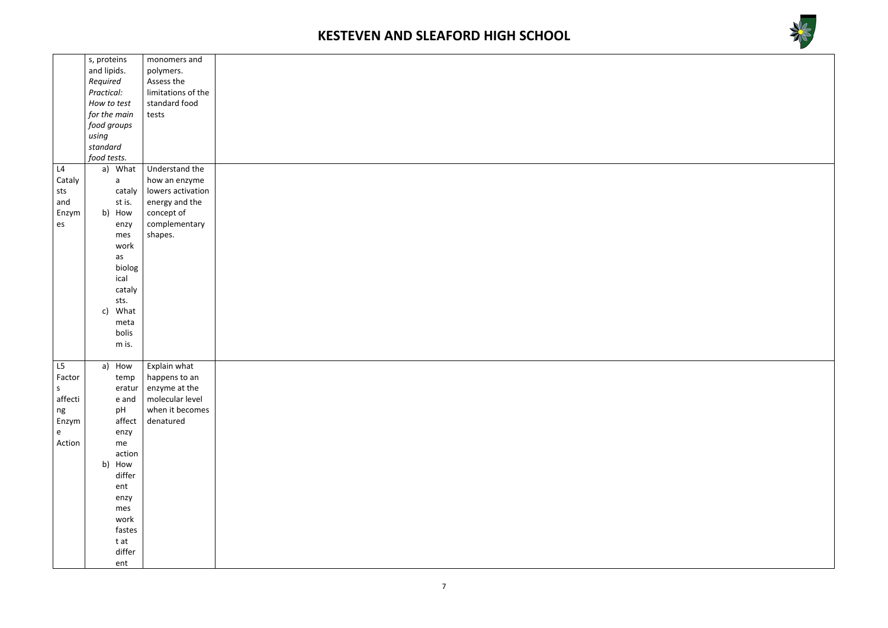



|                                   | s, proteins           | monomers and             |
|-----------------------------------|-----------------------|--------------------------|
|                                   | and lipids.           | polymers.                |
|                                   | Required              | Assess the               |
|                                   | Practical:            | limitations of the       |
|                                   | How to test           | standard food            |
|                                   | for the main          | tests                    |
|                                   | food groups           |                          |
|                                   | using                 |                          |
|                                   | standard              |                          |
|                                   | food tests.           |                          |
| L4                                | a) What               | Understand the           |
| Cataly                            | a                     | how an enzyme            |
| sts                               | cataly                | lowers activation        |
| and                               | st is.                | energy and the           |
| Enzym                             | b) How                | concept of               |
| $\mathsf{es}$                     | enzy                  | complementary            |
|                                   | mes                   | shapes.                  |
|                                   |                       |                          |
|                                   | work                  |                          |
|                                   | as                    |                          |
|                                   | biolog                |                          |
|                                   | ical                  |                          |
|                                   | cataly                |                          |
|                                   | sts.                  |                          |
|                                   | What<br>$\mathsf{c})$ |                          |
|                                   | meta                  |                          |
|                                   | bolis                 |                          |
|                                   | m is.                 |                          |
|                                   |                       |                          |
| L5                                | a)<br>How             | Explain what             |
| Factor                            | temp                  | happens to an            |
| $\mathsf{S}$                      |                       | eratur $ $ enzyme at the |
| affecti                           | e and                 | molecular level          |
| ng                                | pH                    | when it becomes          |
| Enzym                             | affect                | denatured                |
| $\mathbf{e}% _{t}\left( t\right)$ | enzy                  |                          |
| Action                            | me                    |                          |
|                                   | action                |                          |
|                                   | b) How                |                          |
|                                   | differ                |                          |
|                                   | ent                   |                          |
|                                   | enzy                  |                          |
|                                   | mes                   |                          |
|                                   | work                  |                          |
|                                   | fastes                |                          |
|                                   | t at                  |                          |
|                                   | differ                |                          |
|                                   | ent                   |                          |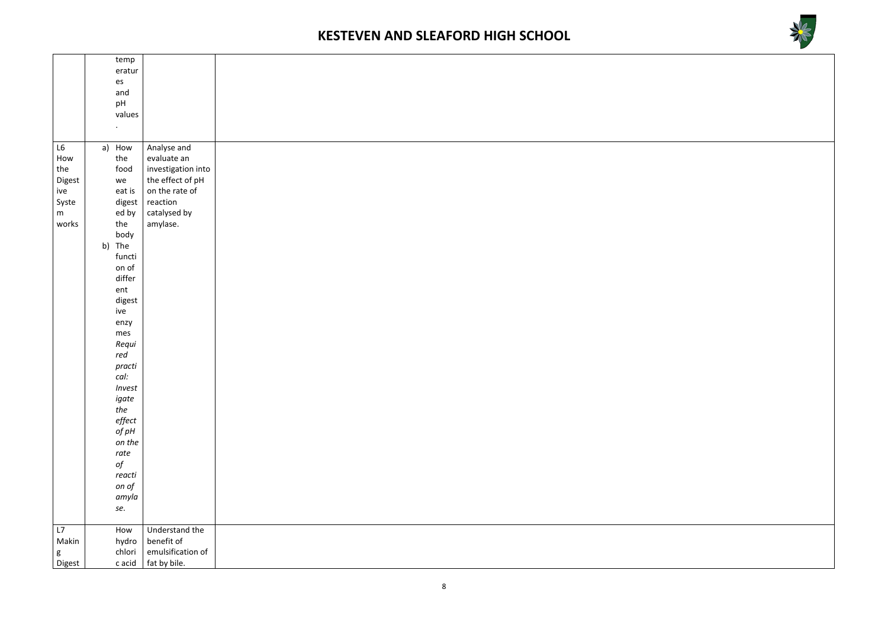



|               | temp      |                    |
|---------------|-----------|--------------------|
|               | eratur    |                    |
|               | es        |                    |
|               | and       |                    |
|               |           |                    |
|               | pH        |                    |
|               | values    |                    |
|               |           |                    |
|               | $\bullet$ |                    |
|               |           |                    |
| $\mathsf{L6}$ | a) How    | Analyse and        |
| How           | the       | evaluate an        |
| the           | food      | investigation into |
|               |           | the effect of pH   |
| Digest        | we        |                    |
| ive           | eat is    | on the rate of     |
| Syste         | digest    | reaction           |
| m             | ed by     | catalysed by       |
|               |           |                    |
| works         | the       | amylase.           |
|               | body      |                    |
|               | b) The    |                    |
|               | functi    |                    |
|               | on of     |                    |
|               |           |                    |
|               | differ    |                    |
|               | ent       |                    |
|               | digest    |                    |
|               | ive       |                    |
|               |           |                    |
|               | enzy      |                    |
|               | mes       |                    |
|               | Requi     |                    |
|               | red       |                    |
|               |           |                    |
|               | practi    |                    |
|               | cal:      |                    |
|               | Invest    |                    |
|               |           |                    |
|               | igate     |                    |
|               | the       |                    |
|               | effect    |                    |
|               | of $pH$   |                    |
|               | on the    |                    |
|               |           |                    |
|               | rate      |                    |
|               | $\it{of}$ |                    |
|               | reacti    |                    |
|               | on of     |                    |
|               |           |                    |
|               | amyla     |                    |
|               | se.       |                    |
|               |           |                    |
| L7            | How       | Understand the     |
|               |           |                    |
| Makin         | hydro     | benefit of         |
| ${\sf g}$     | chlori    | emulsification of  |
| Digest        | c acid    | fat by bile.       |